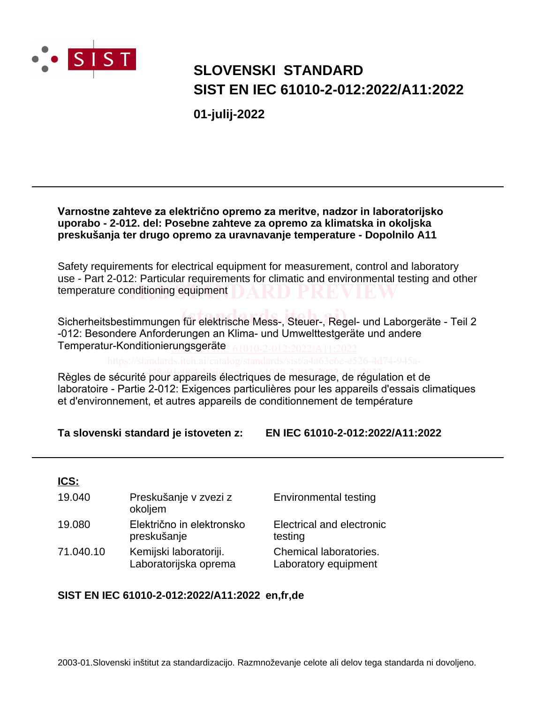

# **SLOVENSKI STANDARD SIST EN IEC 61010-2-012:2022/A11:2022**

**01-julij-2022**

#### **Varnostne zahteve za električno opremo za meritve, nadzor in laboratorijsko uporabo - 2-012. del: Posebne zahteve za opremo za klimatska in okoljska preskušanja ter drugo opremo za uravnavanje temperature - Dopolnilo A11**

Safety requirements for electrical equipment for measurement, control and laboratory use - Part 2-012: Particular requirements for climatic and environmental testing and other temperature conditioning equipment

| temperature conditioning equipment DARD PREVIEW |                                                 |                                                                                                                                                                                                                                                            |  |  |  |  |
|-------------------------------------------------|-------------------------------------------------|------------------------------------------------------------------------------------------------------------------------------------------------------------------------------------------------------------------------------------------------------------|--|--|--|--|
|                                                 | Temperatur-Konditionierungsgeräte               | Sicherheitsbestimmungen für elektrische Mess-, Steuer-, Regel- und Laborgeräte - Teil 2<br>-012: Besondere Anforderungen an Klima- und Umwelttestgeräte und andere                                                                                         |  |  |  |  |
|                                                 |                                                 | https://standards.iteh.ai/catalog/standards/sist/a4a63c6e-e526-4d74-945a-                                                                                                                                                                                  |  |  |  |  |
|                                                 |                                                 | Règles de sécurité pour appareils électriques de mesurage, de régulation et de<br>laboratoire - Partie 2-012: Exigences particulières pour les appareils d'essais climatiques<br>et d'environnement, et autres appareils de conditionnement de température |  |  |  |  |
|                                                 | Ta slovenski standard je istoveten z:           | EN IEC 61010-2-012:2022/A11:2022                                                                                                                                                                                                                           |  |  |  |  |
|                                                 |                                                 |                                                                                                                                                                                                                                                            |  |  |  |  |
| ICS:                                            |                                                 |                                                                                                                                                                                                                                                            |  |  |  |  |
| 19.040                                          | Preskušanje v zvezi z<br>okoljem                | <b>Environmental testing</b>                                                                                                                                                                                                                               |  |  |  |  |
| 19.080                                          | Električno in elektronsko<br>preskušanje        | <b>Electrical and electronic</b><br>testing                                                                                                                                                                                                                |  |  |  |  |
| 71.040.10                                       | Kemijski laboratoriji.<br>Laboratorijska oprema | Chemical laboratories.<br>Laboratory equipment                                                                                                                                                                                                             |  |  |  |  |
|                                                 | SIST EN IEC 61010-2-012:2022/A11:2022 en,fr,de  |                                                                                                                                                                                                                                                            |  |  |  |  |
|                                                 |                                                 |                                                                                                                                                                                                                                                            |  |  |  |  |
|                                                 |                                                 | 2003-01. Slovenski inštitut za standardizacijo. Razmnoževanje celote ali delov tega standarda ni dovoljeno.                                                                                                                                                |  |  |  |  |

### **SIST EN IEC 61010-2-012:2022/A11:2022 en,fr,de**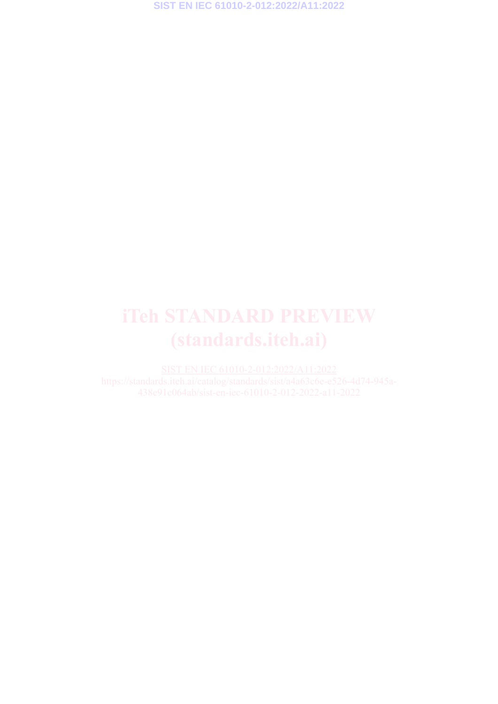**SIST EN IEC 61010-2-012:2022/A11:2022**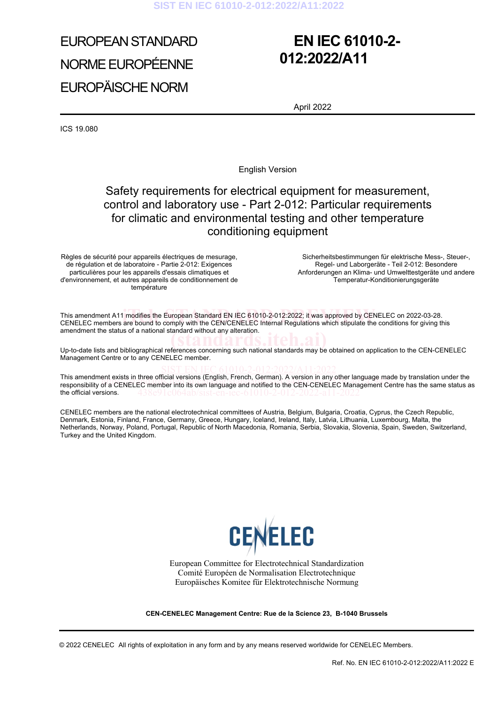#### **SIST EN IEC 61010-2-012:2022/A11:2022**

# EUROPEAN STANDARD NORME EUROPÉENNE EUROPÄISCHE NORM

# **EN IEC 61010-2- 012:2022/A11**

April 2022

ICS 19.080

English Version

## Safety requirements for electrical equipment for measurement, control and laboratory use - Part 2-012: Particular requirements for climatic and environmental testing and other temperature conditioning equipment

Règles de sécurité pour appareils électriques de mesurage, de régulation et de laboratoire - Partie 2-012: Exigences particulières pour les appareils d'essais climatiques et d'environnement, et autres appareils de conditionnement de température

 Sicherheitsbestimmungen für elektrische Mess-, Steuer-, Regel- und Laborgeräte - Teil 2-012: Besondere Anforderungen an Klima- und Umwelttestgeräte und andere Temperatur-Konditionierungsgeräte

.<br>This amendment A11 modifies the European Standard EN IEC 61010-2-012:2022; it was approved by CENELEC on 2022-03-28<br>CENELEC members are bound to comply with the CEN/CENELEC Internal Regulations which stipulate the condit CENELEC members are bound to comply with the CEN/CENELEC Internal Regulations which stipulate the conditions for giving this amendment the status of a national standard without any alteration.

## amenoment the status or a national standard without any alteration.<br>Up-to-date lists and bibliographical references concerning such national standards may be obtained on application to the CEN-CENELEC Management Centre or to any CENELEC member.

This amendment exists in three official versions (English, French, German). A version in any other language made by translation under the SIST EN IEC 61010-2-012:2022/A11:2022 This amendment exists in three official versions (English, French, German). A version in any other language made by translation under the<br>responsibility of a CENELEC member into its own language and notified to the CEN-CEN the official versions. 438e91c064ab/sist-en-iec-61010-2-012-2022-a11-2022

CENELEC members are the national electrotechnical committees of Austria, Belgium, Bulgaria, Croatia, Cyprus, the Czech Republic, Denmark, Estonia, Finland, France, Germany, Greece, Hungary, Iceland, Ireland, Italy, Latvia, Lithuania, Luxembourg, Malta, the Netherlands, Norway, Poland, Portugal, Republic of North Macedonia, Romania, Serbia, Slovakia, Slovenia, Spain, Sweden, Switzerland, Turkey and the United Kingdom.



European Committee for Electrotechnical Standardization Comité Européen de Normalisation Electrotechnique Europäisches Komitee für Elektrotechnische Normung

**CEN-CENELEC Management Centre: Rue de la Science 23, B-1040 Brussels**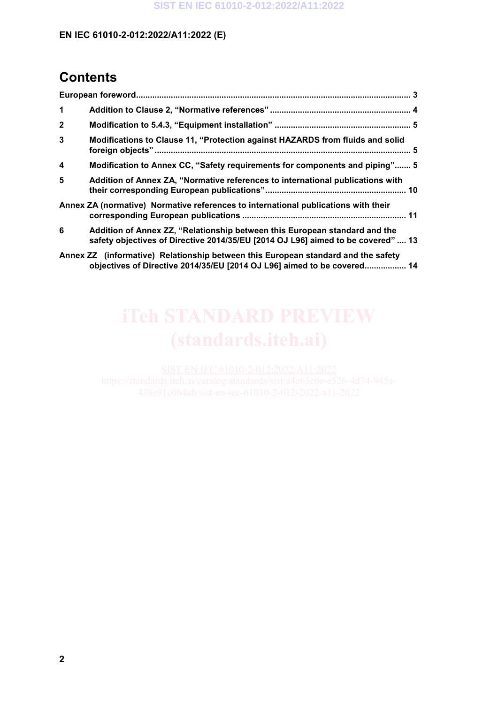## **Contents**

| $\blacktriangleleft$    |                                                                                                                                                                |
|-------------------------|----------------------------------------------------------------------------------------------------------------------------------------------------------------|
| $\mathbf{2}$            |                                                                                                                                                                |
| 3                       | Modifications to Clause 11, "Protection against HAZARDS from fluids and solid                                                                                  |
| $\overline{\mathbf{4}}$ | Modification to Annex CC, "Safety requirements for components and piping" 5                                                                                    |
| 5                       | Addition of Annex ZA, "Normative references to international publications with                                                                                 |
|                         | Annex ZA (normative) Normative references to international publications with their                                                                             |
| 6                       | Addition of Annex ZZ, "Relationship between this European standard and the<br>safety objectives of Directive 2014/35/EU [2014 OJ L96] aimed to be covered"  13 |
|                         | Annex ZZ (informative) Relationship between this European standard and the safety<br>objectives of Directive 2014/35/EU [2014 OJ L96] aimed to be covered 14   |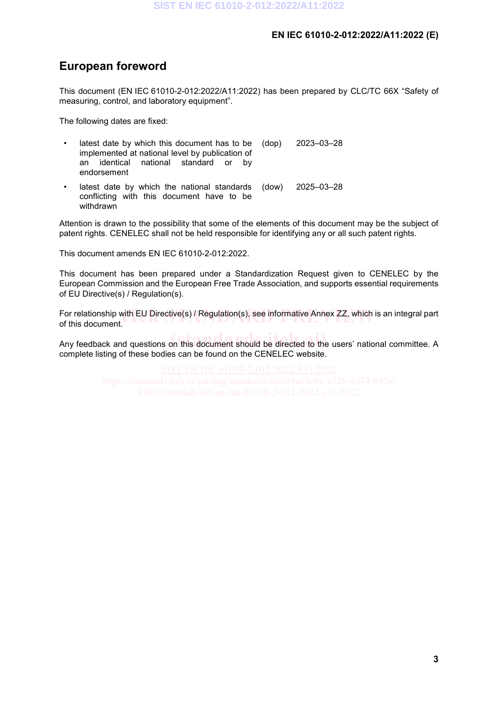## **European foreword**

This document (EN IEC 61010-2-012:2022/A11:2022) has been prepared by CLC/TC 66X "Safety of measuring, control, and laboratory equipment".

The following dates are fixed:

| $\bullet$ | latest date by which this document has to be $(dop)$ 2023–03–28<br>implemented at national level by publication of<br>an identical national standard or by<br>endorsement |  |
|-----------|---------------------------------------------------------------------------------------------------------------------------------------------------------------------------|--|
|           | latest date by which the national standards (dow) 2025–03–28<br>conflicting with this document have to be<br>withdrawn                                                    |  |

Attention is drawn to the possibility that some of the elements of this document may be the subject of patent rights. CENELEC shall not be held responsible for identifying any or all such patent rights.

This document amends EN IEC 61010-2-012:2022.

This document has been prepared under a Standardization Request given to CENELEC by the European Commission and the European Free Trade Association, and supports essential requirements of EU Directive(s) / Regulation(s).

For relationship with EU Directive(s) / Regulation(s), see informative Annex ZZ, which is an integral part<br>of this document. of this document.

Any feedback and questions on this document should be directed to the users' national committee. A **(standards.iteh.ai)** complete listing of these bodies can be found on the CENELEC website.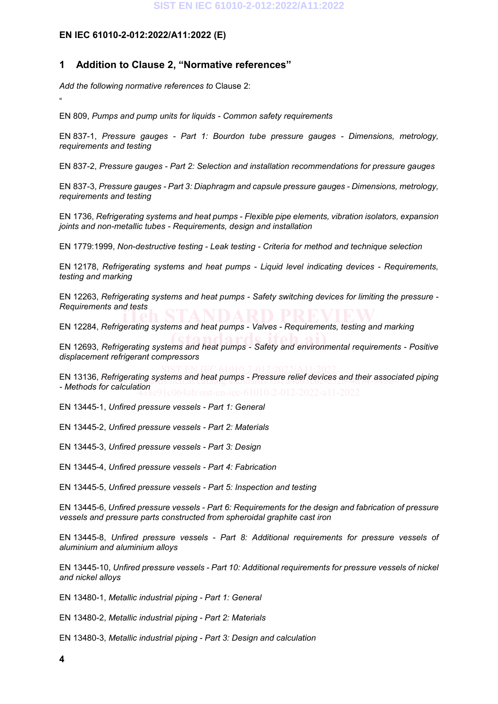#### **1 Addition to Clause 2, "Normative references"**

*Add the following normative references to* Clause 2:

"

EN 809, *Pumps and pump units for liquids - Common safety requirements*

EN 837-1, *Pressure gauges - Part 1: Bourdon tube pressure gauges - Dimensions, metrology, requirements and testing*

EN 837-2, *Pressure gauges - Part 2: Selection and installation recommendations for pressure gauges*

EN 837-3, *Pressure gauges - Part 3: Diaphragm and capsule pressure gauges - Dimensions, metrology, requirements and testing*

EN 1736, *Refrigerating systems and heat pumps - Flexible pipe elements, vibration isolators, expansion joints and non-metallic tubes - Requirements, design and installation*

EN 1779:1999, *Non-destructive testing - Leak testing - Criteria for method and technique selection*

EN 12178, *Refrigerating systems and heat pumps - Liquid level indicating devices - Requirements, testing and marking*

EN 12263, *Refrigerating systems and heat pumps - Safety switching devices for limiting the pressure - Requirements and tests*

EN 12284, *Refrigerating systems and heat pumps - Valves - Requirements, testing and marking* **iTeh STANDARD PREVIEW**

end 12693, *Refrigerating systems and heat pumps - Safety and environmental requirements - Positive* **(in the condition)** *displacement refrigerant compressors*

EN 13136, *Refrigerating systems and heat pumps - Pressure relief devices and their associated piping - Methods for calculation* SIST EN IEC 61010-2-012:2022/A11:2022 Remgerating systems and neat pumps - Pressure relief devices and their assoc<br>ist coloulation 438e91c064ab/sist-en-iec-61010-2-012-2022-a11-2022

EN 13445-1, *Unfired pressure vessels - Part 1: General*

EN 13445-2, *Unfired pressure vessels - Part 2: Materials*

EN 13445-3, *Unfired pressure vessels - Part 3: Design*

EN 13445-4, *Unfired pressure vessels - Part 4: Fabrication*

EN 13445-5, *Unfired pressure vessels - Part 5: Inspection and testing*

EN 13445-6, *Unfired pressure vessels - Part 6: Requirements for the design and fabrication of pressure vessels and pressure parts constructed from spheroidal graphite cast iron*

EN 13445-8, *Unfired pressure vessels - Part 8: Additional requirements for pressure vessels of aluminium and aluminium alloys*

EN 13445-10, *Unfired pressure vessels - Part 10: Additional requirements for pressure vessels of nickel and nickel alloys*

EN 13480-1, *Metallic industrial piping - Part 1: General*

EN 13480-2, *Metallic industrial piping - Part 2: Materials*

EN 13480-3, *Metallic industrial piping - Part 3: Design and calculation*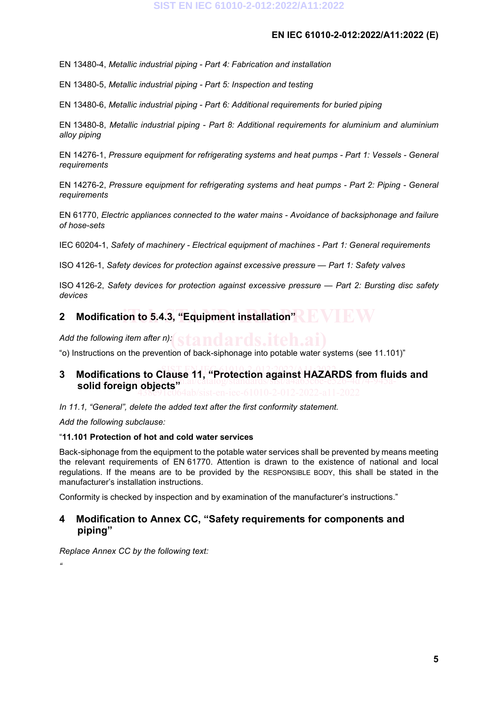EN 13480-4, *Metallic industrial piping - Part 4: Fabrication and installation*

EN 13480-5, *Metallic industrial piping - Part 5: Inspection and testing*

EN 13480-6, *Metallic industrial piping - Part 6: Additional requirements for buried piping*

EN 13480-8, *Metallic industrial piping - Part 8: Additional requirements for aluminium and aluminium alloy piping*

EN 14276-1, *Pressure equipment for refrigerating systems and heat pumps - Part 1: Vessels - General requirements*

EN 14276-2, *Pressure equipment for refrigerating systems and heat pumps - Part 2: Piping - General requirements*

EN 61770, *Electric appliances connected to the water mains - Avoidance of backsiphonage and failure of hose-sets*

IEC 60204-1, *Safety of machinery - Electrical equipment of machines - Part 1: General requirements*

ISO 4126-1, *Safety devices for protection against excessive pressure — Part 1: Safety valves*

ISO 4126-2, *Safety devices for protection against excessive pressure — Part 2: Bursting disc safety devices*

# **2 Modification to 5.4.3, "Equipment installation"**

*Add the following item after n):*

"o) Instructions on the prevention of back-siphonage into potable water systems (see 11.101)" **(standards.iteh.ai)**

#### **3 Modifications to Clause 11, "Protection against HAZARDS from fluids and solid foreign objects"**  $h_{\text{train}}$  https://standards.iteh.ai/catalog/standards/sist/a4a63c6e-e526-4d74-945a-438e91c064ab/sist-en-iec-61010-2-012-2022-a11-2022

*In 11.1, "General", delete the added text after the first conformity statement.*

*Add the following subclause:*

#### "**11.101 Protection of hot and cold water services**

Back-siphonage from the equipment to the potable water services shall be prevented by means meeting the relevant requirements of EN 61770. Attention is drawn to the existence of national and local regulations. If the means are to be provided by the RESPONSIBLE BODY, this shall be stated in the manufacturer's installation instructions.

Conformity is checked by inspection and by examination of the manufacturer's instructions."

#### **4 Modification to Annex CC, "Safety requirements for components and piping"**

*Replace Annex CC by the following text:*

*"*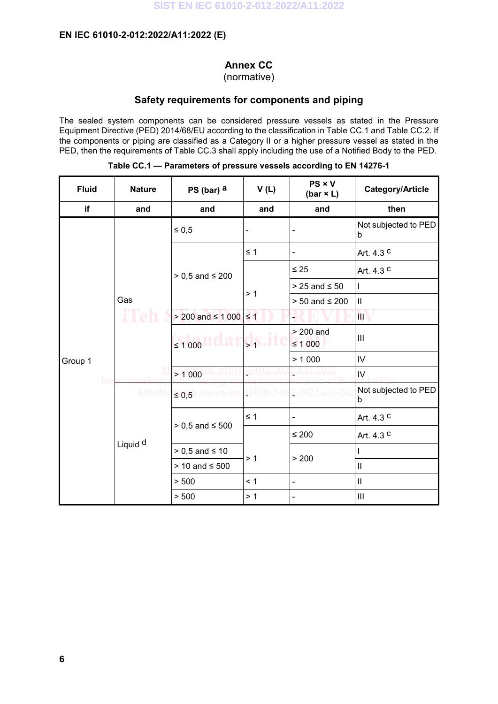## **Annex CC**

(normative)

#### **Safety requirements for components and piping**

The sealed system components can be considered pressure vessels as stated in the Pressure Equipment Directive (PED) 2014/68/EU according to the classification in Table CC.1 and Table CC.2. If the components or piping are classified as a Category II or a higher pressure vessel as stated in the PED, then the requirements of Table CC.3 shall apply including the use of a Notified Body to the PED.

| <b>Fluid</b> | <b>Nature</b>                  | PS (bar) $a$                                          | V(L)     | PS × V<br>(bar $\times$ L) | Category/Article           |
|--------------|--------------------------------|-------------------------------------------------------|----------|----------------------------|----------------------------|
| if           | and                            | and                                                   | and      | and                        | then                       |
|              |                                | $\leq 0.5$                                            |          |                            | Not subjected to PED<br>b  |
|              |                                | $> 0.5$ and $\leq 200$                                | $\leq 1$ |                            | Art. 4.3 <sup>C</sup>      |
|              |                                |                                                       |          | $\leq 25$                  | Art. 4.3 <sup>C</sup>      |
|              |                                |                                                       | >1       | $> 25$ and $\leq 50$       |                            |
| Group 1      | Gas<br>i Teh                   |                                                       |          | $> 50$ and $\leq 200$      | $\ensuremath{\mathsf{II}}$ |
|              |                                | $> 200$ and $\leq 1000$ $\leq 1$                      |          | ÷                          | Ш                          |
|              |                                | stondars, ite                                         |          | $>200$ and<br>$\leq 1000$  | III                        |
|              |                                |                                                       |          | > 1000                     | $\mathsf{IV}$              |
| htt          |                                | > 1000                                                |          |                            | IV                         |
|              | 438e91c<br>Liquid <sup>d</sup> | 2022-a11-20 ₹6,5% sist-en-iec-61010-2-012-2022-a11-20 |          |                            | Not subjected to PED<br>b  |
|              |                                | $> 0.5$ and $\leq 500$                                | $\leq 1$ |                            | Art. 4.3 <sup>C</sup>      |
|              |                                |                                                       |          | $\leq 200$                 | Art. 4.3 <sup>C</sup>      |
|              |                                | > 0,5 and ≤ 10                                        |          | > 200                      |                            |
|              |                                | > 10 and ≤ 500                                        | > 1      |                            | $\ensuremath{\mathsf{II}}$ |
|              |                                | > 500                                                 | < 1      | $\blacksquare$             | $\mathbf{II}$              |
|              |                                | > 500                                                 | > 1      | Ē,                         | $\mathbf{III}$             |

|  | Table CC.1 - Parameters of pressure vessels according to EN 14276-1 |  |
|--|---------------------------------------------------------------------|--|
|  |                                                                     |  |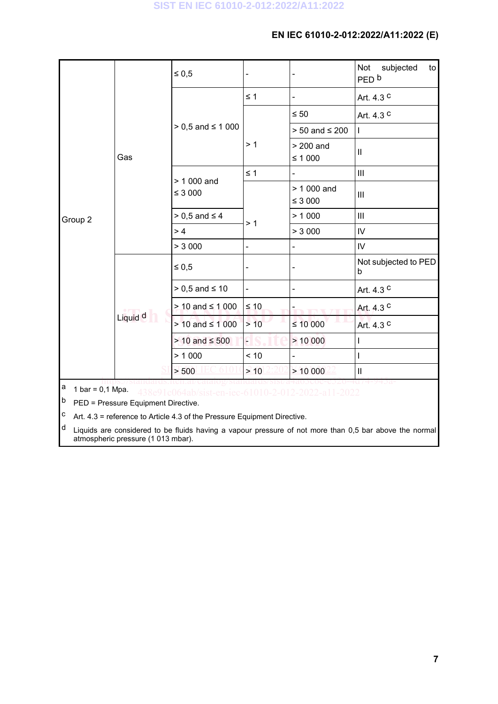|             | Gas                                                                                                                                                                      | $\leq 0.5$                  |           |                            | Not subjected<br>to<br>PED <sub>b</sub> |  |
|-------------|--------------------------------------------------------------------------------------------------------------------------------------------------------------------------|-----------------------------|-----------|----------------------------|-----------------------------------------|--|
|             |                                                                                                                                                                          | $> 0.5$ and $\leq 1000$     | $\leq 1$  |                            | Art. 4.3 <sup>C</sup>                   |  |
|             |                                                                                                                                                                          |                             | >1        | $\leq 50$                  | Art. 4.3 <sup>C</sup>                   |  |
|             |                                                                                                                                                                          |                             |           | $> 50$ and $\leq 200$      | L                                       |  |
|             |                                                                                                                                                                          |                             |           | $> 200$ and<br>$≤ 1000$    | Ш                                       |  |
|             |                                                                                                                                                                          |                             | $\leq 1$  |                            | III                                     |  |
|             |                                                                                                                                                                          | > 1 000 and<br>$\leq$ 3 000 |           | > 1 000 and<br>$\leq 3000$ | III                                     |  |
| Group 2     |                                                                                                                                                                          | > 0,5 and ≤ 4               | >1        | > 1000                     | III                                     |  |
|             |                                                                                                                                                                          | >4                          |           | > 3000                     | IV                                      |  |
|             |                                                                                                                                                                          | > 3000                      |           | ä,                         | IV                                      |  |
|             | Liquid <sup>d</sup>                                                                                                                                                      | $\leq 0.5$                  |           |                            | Not subjected to PED<br>b               |  |
|             |                                                                                                                                                                          | > 0,5 and ≤ 10              |           |                            | Art. 4.3 C                              |  |
|             |                                                                                                                                                                          | > 10 and ≤ 1 000            | $\leq 10$ | <u>וולדת ה</u>             | Art. 4.3 <sup>C</sup>                   |  |
|             |                                                                                                                                                                          | $> 10$ and $\leq 1000$      | >10       | $\leq 10000$               | Art. 4.3 C                              |  |
|             |                                                                                                                                                                          | $> 10$ and $\leq 500$       |           | > 10000                    | L                                       |  |
|             |                                                                                                                                                                          | > 1000                      | < 10      |                            |                                         |  |
|             |                                                                                                                                                                          | > 500                       | >10       | > 10000                    | $\mathbf{II}$                           |  |
| a<br>b<br>с | 1 bar = $0,1$ Mpa.<br>e91c064ab/sist-en-iec-61010-2-0<br>PED = Pressure Equipment Directive.<br>Art. 4.3 = reference to Article 4.3 of the Pressure Equipment Directive. |                             |           |                            |                                         |  |
| d           | Liquids are considered to be fluids having a vapour pressure of not more than 0,5 bar above the normal<br>atmospheric pressure (1 013 mbar).                             |                             |           |                            |                                         |  |